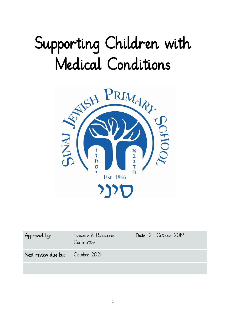# Supporting Children with Medical Conditions



| Approved by:                     | Finance & Resources<br>Committee | Date: $24$ October 2019 |
|----------------------------------|----------------------------------|-------------------------|
| Next review due by: October 2021 |                                  |                         |
|                                  |                                  |                         |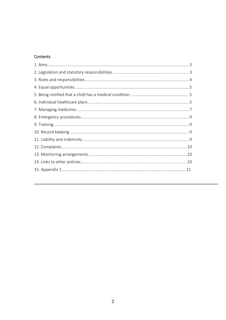## Contents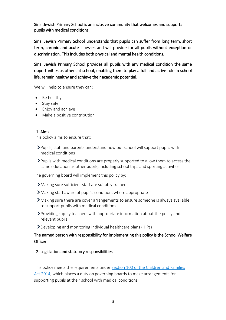Sinai Jewish Primary School is an inclusive community that welcomes and supports pupils with medical conditions.

Sinai Jewish Primary School understands that pupils can suffer from long term, short term, chronic and acute illnesses and will provide for all pupils without exception or discrimination. This includes both physical and mental health conditions.

Sinai Jewish Primary School provides all pupils with any medical condition the same opportunities as others at school, enabling them to play a full and active role in school life, remain healthy and achieve their academic potential.

We will help to ensure they can:

- Be healthy
- Stay safe
- Enjoy and achieve
- Make a positive contribution

#### 1. Aims

This policy aims to ensure that:

- Pupils, staff and parents understand how our school will support pupils with medical conditions
- Pupils with medical conditions are properly supported to allow them to access the same education as other pupils, including school trips and sporting activities

The governing board will implement this policy by:

- Making sure sufficient staff are suitably trained
- Making staff aware of pupil's condition, where appropriate
- Making sure there are cover arrangements to ensure someone is always available to support pupils with medical conditions
- Providing supply teachers with appropriate information about the policy and relevant pupils
- Developing and monitoring individual healthcare plans (IHPs)

## The named person with responsibility for implementing this policy is the School Welfare **Officer**

#### 2. Legislation and statutory responsibilities

This policy meets the requirements under [Section 100 of the Children and Families](http://www.legislation.gov.uk/ukpga/2014/6/part/5/crossheading/pupils-with-medical-conditions)  [Act 2014,](http://www.legislation.gov.uk/ukpga/2014/6/part/5/crossheading/pupils-with-medical-conditions) which places a duty on governing boards to make arrangements for supporting pupils at their school with medical conditions.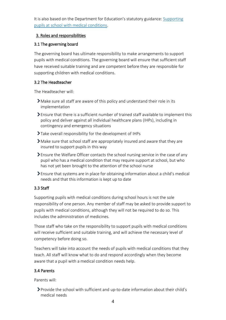It is also based on the Department for Education's statutory guidance: [Supporting](https://www.gov.uk/government/uploads/system/uploads/attachment_data/file/484418/supporting-pupils-at-school-with-medical-conditions.pdf)  [pupils at school with medical conditions.](https://www.gov.uk/government/uploads/system/uploads/attachment_data/file/484418/supporting-pupils-at-school-with-medical-conditions.pdf)

## 3. Roles and responsibilities

## 3.1 The governing board

The governing board has ultimate responsibility to make arrangements to support pupils with medical conditions. The governing board will ensure that sufficient staff have received suitable training and are competent before they are responsible for supporting children with medical conditions.

## 3.2 The Headteacher

The Headteacher will:

- Make sure all staff are aware of this policy and understand their role in its implementation
- Ensure that there is a sufficient number of trained staff available to implement this policy and deliver against all individual healthcare plans (IHPs), including in contingency and emergency situations
- Take overall responsibility for the development of IHPs
- Make sure that school staff are appropriately insured and aware that they are insured to support pupils in this way
- Ensure the Welfare Officer contacts the school nursing service in the case of any pupil who has a medical condition that may require support at school, but who has not yet been brought to the attention of the school nurse
- Ensure that systems are in place for obtaining information about a child's medical needs and that this information is kept up to date

# 3.3 Staff

Supporting pupils with medical conditions during school hours is not the sole responsibility of one person. Any member of staff may be asked to provide support to pupils with medical conditions, although they will not be required to do so. This includes the administration of medicines.

Those staff who take on the responsibility to support pupils with medical conditions will receive sufficient and suitable training, and will achieve the necessary level of competency before doing so.

Teachers will take into account the needs of pupils with medical conditions that they teach. All staff will know what to do and respond accordingly when they become aware that a pupil with a medical condition needs help.

## 3.4 Parents

Parents will:

Provide the school with sufficient and up-to-date information about their child's medical needs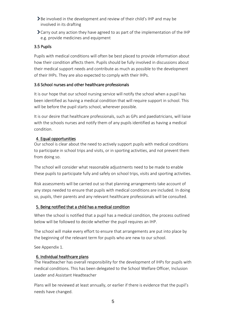- **>** Be involved in the development and review of their child's IHP and may be involved in its drafting
- $\sum$  Carry out any action they have agreed to as part of the implementation of the IHP e.g. provide medicines and equipment

## 3.5 Pupils

Pupils with medical conditions will often be best placed to provide information about how their condition affects them. Pupils should be fully involved in discussions about their medical support needs and contribute as much as possible to the development of their IHPs. They are also expected to comply with their IHPs.

## 3.6 School nurses and other healthcare professionals

It is our hope that our school nursing service will notify the school when a pupil has been identified as having a medical condition that will require support in school. This will be before the pupil starts school, wherever possible.

It is our desire that healthcare professionals, such as GPs and paediatricians, will liaise with the schools nurses and notify them of any pupils identified as having a medical condition.

## 4. Equal opportunities

Our school is clear about the need to actively support pupils with medical conditions to participate in school trips and visits, or in sporting activities, and not prevent them from doing so.

The school will consider what reasonable adjustments need to be made to enable these pupils to participate fully and safely on school trips, visits and sporting activities.

Risk assessments will be carried out so that planning arrangements take account of any steps needed to ensure that pupils with medical conditions are included. In doing so, pupils, their parents and any relevant healthcare professionals will be consulted.

## 5. Being notified that a child has a medical condition

When the school is notified that a pupil has a medical condition, the process outlined below will be followed to decide whether the pupil requires an IHP.

The school will make every effort to ensure that arrangements are put into place by the beginning of the relevant term for pupils who are new to our school.

See Appendix 1.

## 6. Individual healthcare plans

The Headteacher has overall responsibility for the development of IHPs for pupils with medical conditions. This has been delegated to the School Welfare Officer, Inclusion Leader and Assistant Headteacher

Plans will be reviewed at least annually, or earlier if there is evidence that the pupil's needs have changed.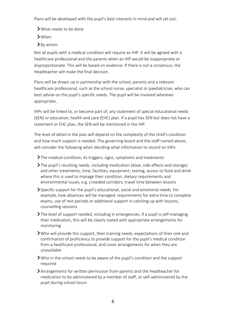Plans will be developed with the pupil's best interests in mind and will set out:

- What needs to be done
- When
- >By whom

Not all pupils with a medical condition will require an IHP. It will be agreed with a healthcare professional and the parents when an IHP would be inappropriate or disproportionate. This will be based on evidence. If there is not a consensus, the Headteacher will make the final decision.

Plans will be drawn up in partnership with the school, parents and a relevant healthcare professional, such as the school nurse, specialist or paediatrician, who can best advise on the pupil's specific needs. The pupil will be involved wherever appropriate.

IHPs will be linked to, or become part of, any statement of special educational needs (SEN) or education, health and care (EHC) plan. If a pupil has SEN but does not have a statement or EHC plan, the SEN will be mentioned in the IHP.

The level of detail in the plan will depend on the complexity of the child's condition and how much support is needed. The governing board and the staff named above, will consider the following when deciding what information to record on IHPs:

The medical condition, its triggers, signs, symptoms and treatments

- $\sum$  The pupil's resulting needs, including medication (dose, side effects and storage) and other treatments, time, facilities, equipment, testing, access to food and drink where this is used to manage their condition, dietary requirements and environmental issues, e.g. crowded corridors, travel time between lessons
- Specific support for the pupil's educational, social and emotional needs. For example, how absences will be managed, requirements for extra time to complete exams, use of rest periods or additional support in catching up with lessons, counselling sessions
- The level of support needed, including in emergencies. If a pupil is self-managing their medication, this will be clearly stated with appropriate arrangements for monitoring
- Who will provide this support, their training needs, expectations of their role and confirmation of proficiency to provide support for the pupil's medical condition from a healthcare professional, and cover arrangements for when they are unavailable
- Who in the school needs to be aware of the pupil's condition and the support required
- Arrangements for written permission from parents and the Headteacher for medication to be administered by a member of staff, or self-administered by the pupil during school hours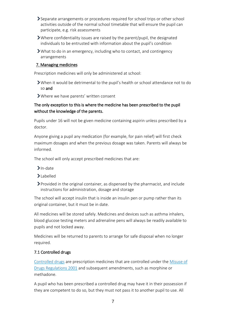- Separate arrangements or procedures required for school trips or other school activities outside of the normal school timetable that will ensure the pupil can participate, e.g. risk assessments
- Where confidentiality issues are raised by the parent/pupil, the designated individuals to be entrusted with information about the pupil's condition
- What to do in an emergency, including who to contact, and contingency arrangements

### 7. Managing medicines

Prescription medicines will only be administered at school:

- When it would be detrimental to the pupil's health or school attendance not to do so and
- Where we have parents' written consent

## The only exception to this is where the medicine has been prescribed to the pupil without the knowledge of the parents.

Pupils under 16 will not be given medicine containing aspirin unless prescribed by a doctor.

Anyone giving a pupil any medication (for example, for pain relief) will first check maximum dosages and when the previous dosage was taken. Parents will always be informed.

The school will only accept prescribed medicines that are:

- $\sum$ In-date
- Labelled
- Provided in the original container, as dispensed by the pharmacist, and include instructions for administration, dosage and storage

The school will accept insulin that is inside an insulin pen or pump rather than its original container, but it must be in date.

All medicines will be stored safely. Medicines and devices such as asthma inhalers, blood glucose testing meters and adrenaline pens will always be readily available to pupils and not locked away.

Medicines will be returned to parents to arrange for safe disposal when no longer required.

# 7.1 Controlled drugs

[Controlled drugs](http://www.nhs.uk/chq/Pages/1391.aspx?CategoryID=73) are prescription medicines that are controlled under the [Misuse of](http://www.legislation.gov.uk/uksi/2001/3998/schedule/1/made)  [Drugs Regulations 2001](http://www.legislation.gov.uk/uksi/2001/3998/schedule/1/made) and subsequent amendments, such as morphine or methadone.

A pupil who has been prescribed a controlled drug may have it in their possession if they are competent to do so, but they must not pass it to another pupil to use. All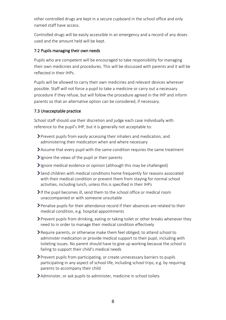other controlled drugs are kept in a secure cupboard in the school office and only named staff have access.

Controlled drugs will be easily accessible in an emergency and a record of any doses used and the amount held will be kept.

## 7.2 Pupils managing their own needs

Pupils who are competent will be encouraged to take responsibility for managing their own medicines and procedures. This will be discussed with parents and it will be reflected in their IHPs.

Pupils will be allowed to carry their own medicines and relevant devices wherever possible. Staff will not force a pupil to take a medicine or carry out a necessary procedure if they refuse, but will follow the procedure agreed in the IHP and inform parents so that an alternative option can be considered, if necessary.

### 7.3 Unacceptable practice

School staff should use their discretion and judge each case individually with reference to the pupil's IHP, but it is generally not acceptable to:

- Prevent pupils from easily accessing their inhalers and medication, and administering their medication when and where necessary
- Assume that every pupil with the same condition requires the same treatment
- $\sum$  Ignore the views of the pupil or their parents
- $\sum$ Ignore medical evidence or opinion (although this may be challenged)
- Send children with medical conditions home frequently for reasons associated with their medical condition or prevent them from staying for normal school activities, including lunch, unless this is specified in their IHPs
- $\blacktriangleright$  If the pupil becomes ill, send them to the school office or medical room unaccompanied or with someone unsuitable
- Penalise pupils for their attendance record if their absences are related to their medical condition, e.g. hospital appointments
- $\triangleright$  Prevent pupils from drinking, eating or taking toilet or other breaks whenever they need to in order to manage their medical condition effectively
- Require parents, or otherwise make them feel obliged, to attend school to administer medication or provide medical support to their pupil, including with toileting issues. No parent should have to give up working because the school is failing to support their child's medical needs
- Prevent pupils from participating, or create unnecessary barriers to pupils participating in any aspect of school life, including school trips, e.g. by requiring parents to accompany their child
- Administer, or ask pupils to administer, medicine in school toilets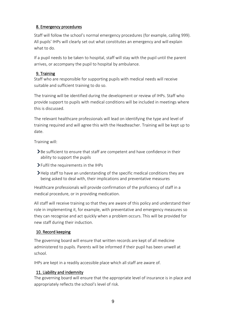## 8. Emergency procedures

Staff will follow the school's normal emergency procedures (for example, calling 999). All pupils' IHPs will clearly set out what constitutes an emergency and will explain what to do.

If a pupil needs to be taken to hospital, staff will stay with the pupil until the parent arrives, or accompany the pupil to hospital by ambulance.

## 9. Training

Staff who are responsible for supporting pupils with medical needs will receive suitable and sufficient training to do so.

The training will be identified during the development or review of IHPs. Staff who provide support to pupils with medical conditions will be included in meetings where this is discussed.

The relevant healthcare professionals will lead on identifying the type and level of training required and will agree this with the Headteacher. Training will be kept up to date.

Training will:

- Supersupering Sharelling that staff are competent and have confidence in their ability to support the pupils
- Fulfil the requirements in the IHPs
- **>Help staff to have an understanding of the specific medical conditions they are** being asked to deal with, their implications and preventative measures

Healthcare professionals will provide confirmation of the proficiency of staff in a medical procedure, or in providing medication.

All staff will receive training so that they are aware of this policy and understand their role in implementing it, for example, with preventative and emergency measures so they can recognise and act quickly when a problem occurs. This will be provided for new staff during their induction.

## 10. Record keeping

The governing board will ensure that written records are kept of all medicine administered to pupils. Parents will be informed if their pupil has been unwell at school.

IHPs are kept in a readily accessible place which all staff are aware of.

# 11. Liability and indemnity

The governing board will ensure that the appropriate level of insurance is in place and appropriately reflects the school's level of risk.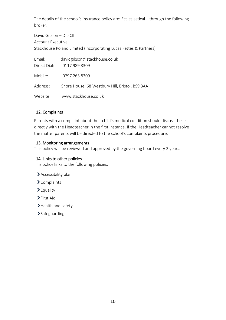The details of the school's insurance policy are: Ecclesiastical – through the following broker:

David Gibson – Dip CII Account Executive Stackhouse Poland Limited (incorporating Lucas Fettes & Partners)

| Email:       | davidgibson@stackhouse.co.uk                    |
|--------------|-------------------------------------------------|
| Direct Dial: | 0117 989 8309                                   |
| Mobile:      | 0797 263 8309                                   |
| Address:     | Shore House, 68 Westbury Hill, Bristol, BS9 3AA |
| Website:     | www.stackhouse.co.uk                            |

## 12. Complaints

Parents with a complaint about their child's medical condition should discuss these directly with the Headteacher in the first instance. If the Headteacher cannot resolve the matter parents will be directed to the school's complaints procedure.

## 13. Monitoring arrangements

This policy will be reviewed and approved by the governing board every 2 years.

## 14. Links to other policies

This policy links to the following policies:

- Accessibility plan
- Complaints
- Equality
- >First Aid
- > Health and safety
- >Safeguarding